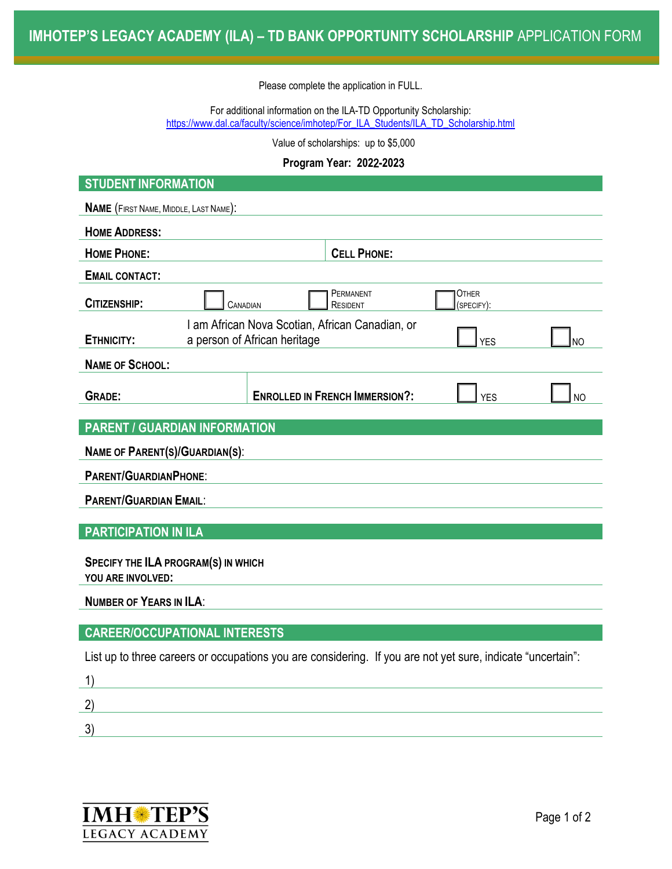Please complete the application in FULL.

For additional information on the ILA-TD Opportunity Scholarship: [https://www.dal.ca/faculty/science/imhotep/For\\_ILA\\_Students/ILA\\_TD\\_Scholarship.html](https://www.dal.ca/faculty/science/imhotep/For_ILA_Students/ILA_TD_Scholarship.html)

Value of scholarships: up to \$5,000

## **Program Year: 202**2**-202**3

| <b>STUDENT INFORMATION</b>                                                                                               |                    |                                       |                     |           |  |  |  |  |
|--------------------------------------------------------------------------------------------------------------------------|--------------------|---------------------------------------|---------------------|-----------|--|--|--|--|
| NAME (FIRST NAME, MIDDLE, LAST NAME):                                                                                    |                    |                                       |                     |           |  |  |  |  |
| <b>HOME ADDRESS:</b>                                                                                                     |                    |                                       |                     |           |  |  |  |  |
| <b>HOME PHONE:</b>                                                                                                       | <b>CELL PHONE:</b> |                                       |                     |           |  |  |  |  |
| <b>EMAIL CONTACT:</b>                                                                                                    |                    |                                       |                     |           |  |  |  |  |
| CITIZENSHIP:                                                                                                             | CANADIAN           |                                       | Other<br>(SPECIFY): |           |  |  |  |  |
| I am African Nova Scotian, African Canadian, or<br>ETHNICITY:<br>a person of African heritage<br><b>YES</b><br><b>NO</b> |                    |                                       |                     |           |  |  |  |  |
| <b>NAME OF SCHOOL:</b>                                                                                                   |                    |                                       |                     |           |  |  |  |  |
| <b>GRADE:</b>                                                                                                            |                    | <b>ENROLLED IN FRENCH IMMERSION?:</b> | <b>YES</b>          | <b>NO</b> |  |  |  |  |
| <b>PARENT / GUARDIAN INFORMATION</b>                                                                                     |                    |                                       |                     |           |  |  |  |  |
| <b>NAME OF PARENT(S)/GUARDIAN(S):</b>                                                                                    |                    |                                       |                     |           |  |  |  |  |
| <b>PARENT/GUARDIANPHONE:</b>                                                                                             |                    |                                       |                     |           |  |  |  |  |
| <b>PARENT/GUARDIAN EMAIL:</b>                                                                                            |                    |                                       |                     |           |  |  |  |  |
|                                                                                                                          |                    |                                       |                     |           |  |  |  |  |
| <b>PARTICIPATION IN ILA</b>                                                                                              |                    |                                       |                     |           |  |  |  |  |
| <b>SPECIFY THE ILA PROGRAM(S) IN WHICH</b>                                                                               |                    |                                       |                     |           |  |  |  |  |
| YOU ARE INVOLVED:                                                                                                        |                    |                                       |                     |           |  |  |  |  |
| <b>NUMBER OF YEARS IN ILA:</b>                                                                                           |                    |                                       |                     |           |  |  |  |  |
| <b>CAREER/OCCUPATIONAL INTERESTS</b>                                                                                     |                    |                                       |                     |           |  |  |  |  |
| List up to three careers or occupations you are considering. If you are not yet sure, indicate "uncertain":              |                    |                                       |                     |           |  |  |  |  |
| 1)                                                                                                                       |                    |                                       |                     |           |  |  |  |  |
|                                                                                                                          |                    |                                       |                     |           |  |  |  |  |